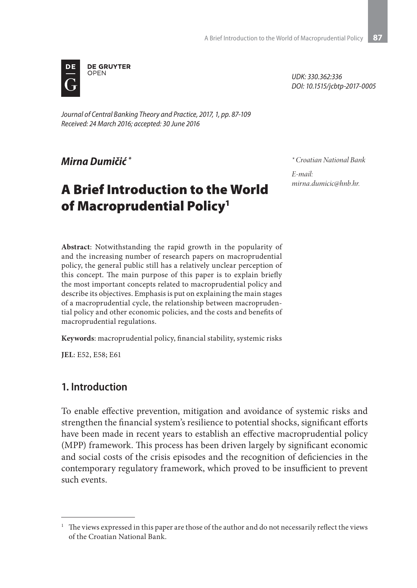

*Journal of Central Banking Theory and Practice, 2017, 1, pp. 87-109 Received: 24 March 2016; accepted: 30 June 2016*

*Mirna Dumičić \**

# A Brief Introduction to the World of Macroprudential Policy<sup>1</sup>

*\* Croatian National Bank*

*UDK: 330.362:336*

*DOI: 10.1515/jcbtp-2017-0005*

*E-mail: mirna.dumicic@hnb.hr.*

**Abstract**: Notwithstanding the rapid growth in the popularity of and the increasing number of research papers on macroprudential policy, the general public still has a relatively unclear perception of this concept. The main purpose of this paper is to explain briefly the most important concepts related to macroprudential policy and describe its objectives. Emphasis is put on explaining the main stages of a macroprudential cycle, the relationship between macroprudential policy and other economic policies, and the costs and benefits of macroprudential regulations.

**Keywords**: macroprudential policy, financial stability, systemic risks

**JEL**: E52, E58; E61

## **1. Introduction**

To enable effective prevention, mitigation and avoidance of systemic risks and strengthen the financial system's resilience to potential shocks, significant efforts have been made in recent years to establish an effective macroprudential policy (MPP) framework. This process has been driven largely by significant economic and social costs of the crisis episodes and the recognition of deficiencies in the contemporary regulatory framework, which proved to be insufficient to prevent such events.

<sup>&</sup>lt;sup>1</sup> The views expressed in this paper are those of the author and do not necessarily reflect the views of the Croatian National Bank.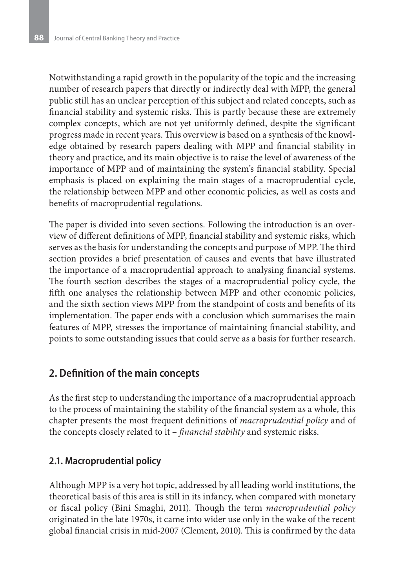Notwithstanding a rapid growth in the popularity of the topic and the increasing number of research papers that directly or indirectly deal with MPP, the general public still has an unclear perception of this subject and related concepts, such as financial stability and systemic risks. This is partly because these are extremely complex concepts, which are not yet uniformly defined, despite the significant progress made in recent years. This overview is based on a synthesis of the knowledge obtained by research papers dealing with MPP and financial stability in theory and practice, and its main objective is to raise the level of awareness of the importance of MPP and of maintaining the system's financial stability. Special emphasis is placed on explaining the main stages of a macroprudential cycle, the relationship between MPP and other economic policies, as well as costs and benefits of macroprudential regulations.

The paper is divided into seven sections. Following the introduction is an overview of different definitions of MPP, financial stability and systemic risks, which serves as the basis for understanding the concepts and purpose of MPP. The third section provides a brief presentation of causes and events that have illustrated the importance of a macroprudential approach to analysing financial systems. The fourth section describes the stages of a macroprudential policy cycle, the fifth one analyses the relationship between MPP and other economic policies, and the sixth section views MPP from the standpoint of costs and benefits of its implementation. The paper ends with a conclusion which summarises the main features of MPP, stresses the importance of maintaining financial stability, and points to some outstanding issues that could serve as a basis for further research.

## **2. Definition of the main concepts**

As the first step to understanding the importance of a macroprudential approach to the process of maintaining the stability of the financial system as a whole, this chapter presents the most frequent definitions of *macroprudential policy* and of the concepts closely related to it – *financial stability* and systemic risks.

## **2.1. Macroprudential policy**

Although MPP is a very hot topic, addressed by all leading world institutions, the theoretical basis of this area is still in its infancy, when compared with monetary or fiscal policy (Bini Smaghi, 2011). Though the term *macroprudential policy*  originated in the late 1970s, it came into wider use only in the wake of the recent global financial crisis in mid-2007 (Clement, 2010). This is confirmed by the data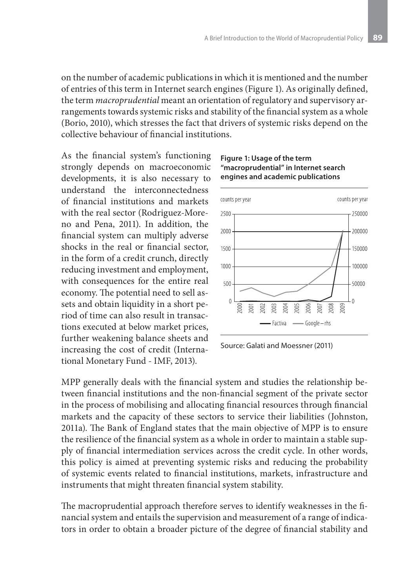on the number of academic publications in which it is mentioned and the number of entries of this term in Internet search engines (Figure 1). As originally defined, the term *macroprudential* meant an orientation of regulatory and supervisory arrangements towards systemic risks and stability of the financial system as a whole (Borio, 2010), which stresses the fact that drivers of systemic risks depend on the collective behaviour of financial institutions.

As the financial system's functioning strongly depends on macroeconomic developments, it is also necessary to understand the interconnectedness of financial institutions and markets with the real sector (Rodriguez-Moreno and Pena, 2011). In addition, the financial system can multiply adverse shocks in the real or financial sector, in the form of a credit crunch, directly reducing investment and employment, with consequences for the entire real economy. The potential need to sell assets and obtain liquidity in a short period of time can also result in transactions executed at below market prices, further weakening balance sheets and increasing the cost of credit (International Monetary Fund - IMF, 2013).

**Figure 1: Usage of the term "macroprudential" in Internet search engines and academic publications**



Source: Galati and Moessner (2011)

MPP generally deals with the financial system and studies the relationship between financial institutions and the non-financial segment of the private sector in the process of mobilising and allocating financial resources through financial markets and the capacity of these sectors to service their liabilities (Johnston, 2011a). The Bank of England states that the main objective of MPP is to ensure the resilience of the financial system as a whole in order to maintain a stable supply of financial intermediation services across the credit cycle. In other words, this policy is aimed at preventing systemic risks and reducing the probability of systemic events related to financial institutions, markets, infrastructure and instruments that might threaten financial system stability.

The macroprudential approach therefore serves to identify weaknesses in the financial system and entails the supervision and measurement of a range of indicators in order to obtain a broader picture of the degree of financial stability and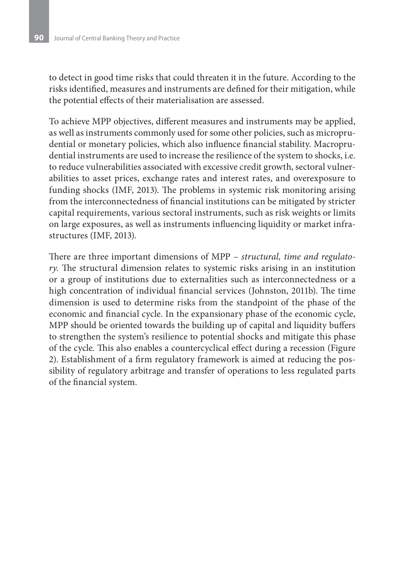to detect in good time risks that could threaten it in the future. According to the risks identified, measures and instruments are defined for their mitigation, while the potential effects of their materialisation are assessed.

To achieve MPP objectives, different measures and instruments may be applied, as well as instruments commonly used for some other policies, such as microprudential or monetary policies, which also influence financial stability. Macroprudential instruments are used to increase the resilience of the system to shocks, i.e. to reduce vulnerabilities associated with excessive credit growth, sectoral vulnerabilities to asset prices, exchange rates and interest rates, and overexposure to funding shocks (IMF, 2013). The problems in systemic risk monitoring arising from the interconnectedness of financial institutions can be mitigated by stricter capital requirements, various sectoral instruments, such as risk weights or limits on large exposures, as well as instruments influencing liquidity or market infrastructures (IMF, 2013).

There are three important dimensions of MPP – *structural, time and regulatory*. The structural dimension relates to systemic risks arising in an institution or a group of institutions due to externalities such as interconnectedness or a high concentration of individual financial services (Johnston, 2011b). The time dimension is used to determine risks from the standpoint of the phase of the economic and financial cycle. In the expansionary phase of the economic cycle, MPP should be oriented towards the building up of capital and liquidity buffers to strengthen the system's resilience to potential shocks and mitigate this phase of the cycle. This also enables a countercyclical effect during a recession (Figure 2). Establishment of a firm regulatory framework is aimed at reducing the possibility of regulatory arbitrage and transfer of operations to less regulated parts of the financial system.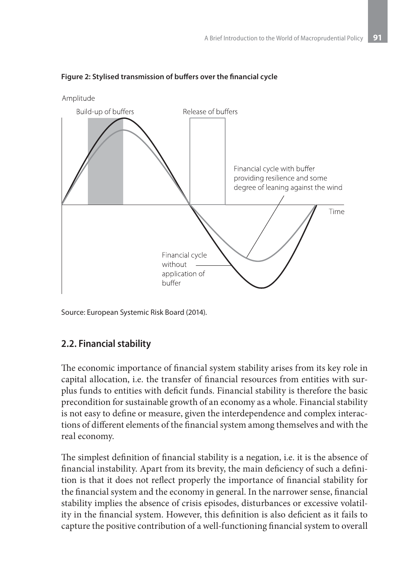

#### **Figure 2: Stylised transmission of buffers over the financial cycle**

Source: European Systemic Risk Board (2014).

### **2.2. Financial stability**

The economic importance of financial system stability arises from its key role in capital allocation, i.e. the transfer of financial resources from entities with surplus funds to entities with deficit funds. Financial stability is therefore the basic precondition for sustainable growth of an economy as a whole. Financial stability is not easy to define or measure, given the interdependence and complex interactions of different elements of the financial system among themselves and with the real economy.

The simplest definition of financial stability is a negation, i.e. it is the absence of financial instability. Apart from its brevity, the main deficiency of such a definition is that it does not reflect properly the importance of financial stability for the financial system and the economy in general. In the narrower sense, financial stability implies the absence of crisis episodes, disturbances or excessive volatility in the financial system. However, this definition is also deficient as it fails to capture the positive contribution of a well-functioning financial system to overall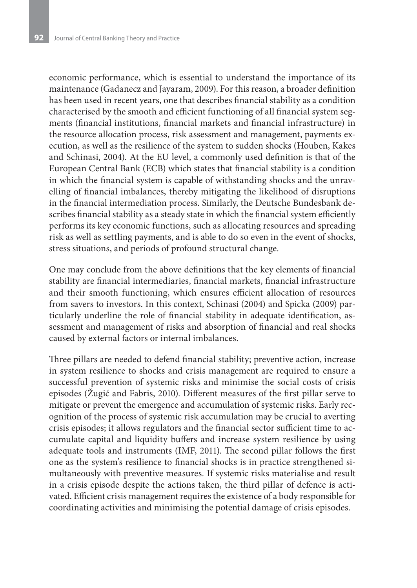economic performance, which is essential to understand the importance of its maintenance (Gadanecz and Jayaram, 2009). For this reason, a broader definition has been used in recent years, one that describes financial stability as a condition characterised by the smooth and efficient functioning of all financial system segments (financial institutions, financial markets and financial infrastructure) in the resource allocation process, risk assessment and management, payments execution, as well as the resilience of the system to sudden shocks (Houben, Kakes and Schinasi, 2004). At the EU level, a commonly used definition is that of the European Central Bank (ECB) which states that financial stability is a condition in which the financial system is capable of withstanding shocks and the unravelling of financial imbalances, thereby mitigating the likelihood of disruptions in the financial intermediation process. Similarly, the Deutsche Bundesbank describes financial stability as a steady state in which the financial system efficiently performs its key economic functions, such as allocating resources and spreading risk as well as settling payments, and is able to do so even in the event of shocks, stress situations, and periods of profound structural change.

One may conclude from the above definitions that the key elements of financial stability are financial intermediaries, financial markets, financial infrastructure and their smooth functioning, which ensures efficient allocation of resources from savers to investors. In this context, Schinasi (2004) and Spicka (2009) particularly underline the role of financial stability in adequate identification, assessment and management of risks and absorption of financial and real shocks caused by external factors or internal imbalances.

Three pillars are needed to defend financial stability; preventive action, increase in system resilience to shocks and crisis management are required to ensure a successful prevention of systemic risks and minimise the social costs of crisis episodes (Žugić and Fabris, 2010). Different measures of the first pillar serve to mitigate or prevent the emergence and accumulation of systemic risks. Early recognition of the process of systemic risk accumulation may be crucial to averting crisis episodes; it allows regulators and the financial sector sufficient time to accumulate capital and liquidity buffers and increase system resilience by using adequate tools and instruments (IMF, 2011). The second pillar follows the first one as the system's resilience to financial shocks is in practice strengthened simultaneously with preventive measures. If systemic risks materialise and result in a crisis episode despite the actions taken, the third pillar of defence is activated. Efficient crisis management requires the existence of a body responsible for coordinating activities and minimising the potential damage of crisis episodes.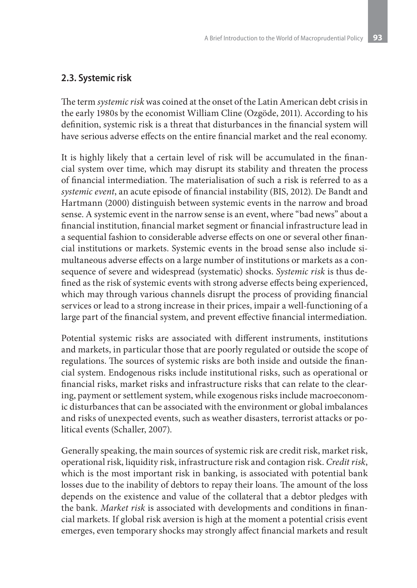### **2.3. Systemic risk**

The term *systemic risk* was coined at the onset of the Latin American debt crisis in the early 1980s by the economist William Cline (Ozgöde, 2011). According to his definition, systemic risk is a threat that disturbances in the financial system will have serious adverse effects on the entire financial market and the real economy.

It is highly likely that a certain level of risk will be accumulated in the financial system over time, which may disrupt its stability and threaten the process of financial intermediation. The materialisation of such a risk is referred to as a *systemic event*, an acute episode of financial instability (BIS, 2012). De Bandt and Hartmann (2000) distinguish between systemic events in the narrow and broad sense. A systemic event in the narrow sense is an event, where "bad news" about a financial institution, financial market segment or financial infrastructure lead in a sequential fashion to considerable adverse effects on one or several other financial institutions or markets. Systemic events in the broad sense also include simultaneous adverse effects on a large number of institutions or markets as a consequence of severe and widespread (systematic) shocks. *Systemic risk* is thus defined as the risk of systemic events with strong adverse effects being experienced, which may through various channels disrupt the process of providing financial services or lead to a strong increase in their prices, impair a well-functioning of a large part of the financial system, and prevent effective financial intermediation.

Potential systemic risks are associated with different instruments, institutions and markets, in particular those that are poorly regulated or outside the scope of regulations. The sources of systemic risks are both inside and outside the financial system. Endogenous risks include institutional risks, such as operational or financial risks, market risks and infrastructure risks that can relate to the clearing, payment or settlement system, while exogenous risks include macroeconomic disturbances that can be associated with the environment or global imbalances and risks of unexpected events, such as weather disasters, terrorist attacks or political events (Schaller, 2007).

Generally speaking, the main sources of systemic risk are credit risk, market risk, operational risk, liquidity risk, infrastructure risk and contagion risk. *Credit risk*, which is the most important risk in banking, is associated with potential bank losses due to the inability of debtors to repay their loans. The amount of the loss depends on the existence and value of the collateral that a debtor pledges with the bank. *Market risk* is associated with developments and conditions in financial markets. If global risk aversion is high at the moment a potential crisis event emerges, even temporary shocks may strongly affect financial markets and result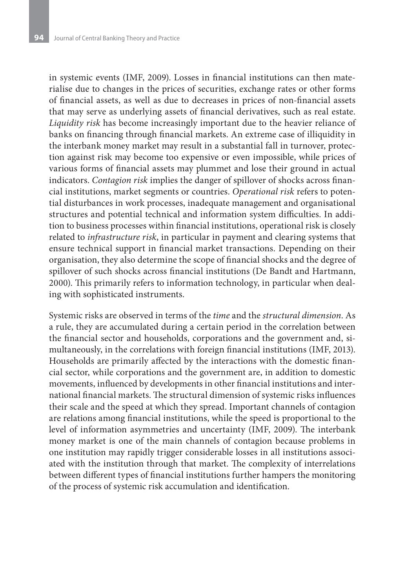in systemic events (IMF, 2009). Losses in financial institutions can then materialise due to changes in the prices of securities, exchange rates or other forms of financial assets, as well as due to decreases in prices of non-financial assets that may serve as underlying assets of financial derivatives, such as real estate. *Liquidity risk* has become increasingly important due to the heavier reliance of banks on financing through financial markets. An extreme case of illiquidity in the interbank money market may result in a substantial fall in turnover, protection against risk may become too expensive or even impossible, while prices of various forms of financial assets may plummet and lose their ground in actual indicators. *Contagion risk* implies the danger of spillover of shocks across financial institutions, market segments or countries. *Operational risk* refers to potential disturbances in work processes, inadequate management and organisational structures and potential technical and information system difficulties. In addition to business processes within financial institutions, operational risk is closely related to *infrastructure risk*, in particular in payment and clearing systems that ensure technical support in financial market transactions. Depending on their organisation, they also determine the scope of financial shocks and the degree of spillover of such shocks across financial institutions (De Bandt and Hartmann, 2000). This primarily refers to information technology, in particular when dealing with sophisticated instruments.

Systemic risks are observed in terms of the *time* and the *structural dimension*. As a rule, they are accumulated during a certain period in the correlation between the financial sector and households, corporations and the government and, simultaneously, in the correlations with foreign financial institutions (IMF, 2013). Households are primarily affected by the interactions with the domestic financial sector, while corporations and the government are, in addition to domestic movements, influenced by developments in other financial institutions and international financial markets. The structural dimension of systemic risks influences their scale and the speed at which they spread. Important channels of contagion are relations among financial institutions, while the speed is proportional to the level of information asymmetries and uncertainty (IMF, 2009). The interbank money market is one of the main channels of contagion because problems in one institution may rapidly trigger considerable losses in all institutions associated with the institution through that market. The complexity of interrelations between different types of financial institutions further hampers the monitoring of the process of systemic risk accumulation and identification.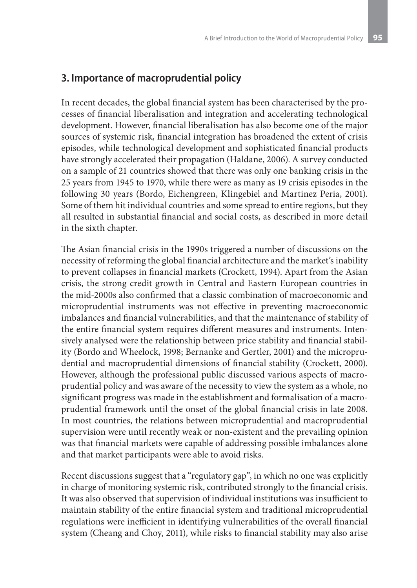## **3. Importance of macroprudential policy**

In recent decades, the global financial system has been characterised by the processes of financial liberalisation and integration and accelerating technological development. However, financial liberalisation has also become one of the major sources of systemic risk, financial integration has broadened the extent of crisis episodes, while technological development and sophisticated financial products have strongly accelerated their propagation (Haldane, 2006). A survey conducted on a sample of 21 countries showed that there was only one banking crisis in the 25 years from 1945 to 1970, while there were as many as 19 crisis episodes in the following 30 years (Bordo, Eichengreen, Klingebiel and Martinez Peria, 2001). Some of them hit individual countries and some spread to entire regions, but they all resulted in substantial financial and social costs, as described in more detail in the sixth chapter.

The Asian financial crisis in the 1990s triggered a number of discussions on the necessity of reforming the global financial architecture and the market's inability to prevent collapses in financial markets (Crockett, 1994). Apart from the Asian crisis, the strong credit growth in Central and Eastern European countries in the mid-2000s also confirmed that a classic combination of macroeconomic and microprudential instruments was not effective in preventing macroeconomic imbalances and financial vulnerabilities, and that the maintenance of stability of the entire financial system requires different measures and instruments. Intensively analysed were the relationship between price stability and financial stability (Bordo and Wheelock, 1998; Bernanke and Gertler, 2001) and the microprudential and macroprudential dimensions of financial stability (Crockett, 2000). However, although the professional public discussed various aspects of macroprudential policy and was aware of the necessity to view the system as a whole, no significant progress was made in the establishment and formalisation of a macroprudential framework until the onset of the global financial crisis in late 2008. In most countries, the relations between microprudential and macroprudential supervision were until recently weak or non-existent and the prevailing opinion was that financial markets were capable of addressing possible imbalances alone and that market participants were able to avoid risks.

Recent discussions suggest that a "regulatory gap", in which no one was explicitly in charge of monitoring systemic risk, contributed strongly to the financial crisis. It was also observed that supervision of individual institutions was insufficient to maintain stability of the entire financial system and traditional microprudential regulations were inefficient in identifying vulnerabilities of the overall financial system (Cheang and Choy, 2011), while risks to financial stability may also arise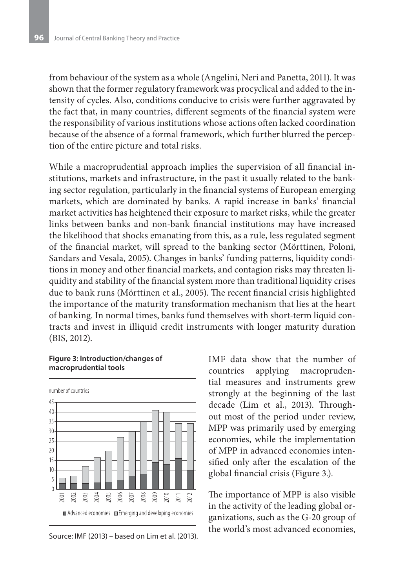from behaviour of the system as a whole (Angelini, Neri and Panetta, 2011). It was shown that the former regulatory framework was procyclical and added to the intensity of cycles. Also, conditions conducive to crisis were further aggravated by the fact that, in many countries, different segments of the financial system were the responsibility of various institutions whose actions often lacked coordination because of the absence of a formal framework, which further blurred the perception of the entire picture and total risks.

While a macroprudential approach implies the supervision of all financial institutions, markets and infrastructure, in the past it usually related to the banking sector regulation, particularly in the financial systems of European emerging markets, which are dominated by banks. A rapid increase in banks' financial market activities has heightened their exposure to market risks, while the greater links between banks and non-bank financial institutions may have increased the likelihood that shocks emanating from this, as a rule, less regulated segment of the financial market, will spread to the banking sector (Mörttinen, Poloni, Sandars and Vesala, 2005). Changes in banks' funding patterns, liquidity conditions in money and other financial markets, and contagion risks may threaten liquidity and stability of the financial system more than traditional liquidity crises due to bank runs (Mörttinen et al., 2005). The recent financial crisis highlighted the importance of the maturity transformation mechanism that lies at the heart of banking. In normal times, banks fund themselves with short-term liquid contracts and invest in illiquid credit instruments with longer maturity duration (BIS, 2012).

#### **Figure 3: Introduction/changes of macroprudential tools**



Source: IMF (2013) – based on Lim et al. (2013).

IMF data show that the number of countries applying macroprudential measures and instruments grew strongly at the beginning of the last decade (Lim et al., 2013). Throughout most of the period under review, MPP was primarily used by emerging economies, while the implementation of MPP in advanced economies intensified only after the escalation of the global financial crisis (Figure 3.).

The importance of MPP is also visible in the activity of the leading global organizations, such as the G-20 group of the world's most advanced economies,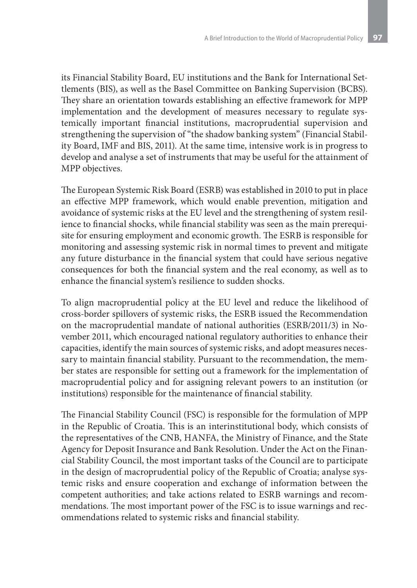its Financial Stability Board, EU institutions and the Bank for International Settlements (BIS), as well as the Basel Committee on Banking Supervision (BCBS). They share an orientation towards establishing an effective framework for MPP implementation and the development of measures necessary to regulate systemically important financial institutions, macroprudential supervision and strengthening the supervision of "the shadow banking system" (Financial Stability Board, IMF and BIS, 2011). At the same time, intensive work is in progress to develop and analyse a set of instruments that may be useful for the attainment of MPP objectives.

The European Systemic Risk Board (ESRB) was established in 2010 to put in place an effective MPP framework, which would enable prevention, mitigation and avoidance of systemic risks at the EU level and the strengthening of system resilience to financial shocks, while financial stability was seen as the main prerequisite for ensuring employment and economic growth. The ESRB is responsible for monitoring and assessing systemic risk in normal times to prevent and mitigate any future disturbance in the financial system that could have serious negative consequences for both the financial system and the real economy, as well as to enhance the financial system's resilience to sudden shocks.

To align macroprudential policy at the EU level and reduce the likelihood of cross-border spillovers of systemic risks, the ESRB issued the Recommendation on the macroprudential mandate of national authorities (ESRB/2011/3) in November 2011, which encouraged national regulatory authorities to enhance their capacities, identify the main sources of systemic risks, and adopt measures necessary to maintain financial stability. Pursuant to the recommendation, the member states are responsible for setting out a framework for the implementation of macroprudential policy and for assigning relevant powers to an institution (or institutions) responsible for the maintenance of financial stability.

The Financial Stability Council (FSC) is responsible for the formulation of MPP in the Republic of Croatia. This is an interinstitutional body, which consists of the representatives of the CNB, HANFA, the Ministry of Finance, and the State Agency for Deposit Insurance and Bank Resolution. Under the Act on the Financial Stability Council, the most important tasks of the Council are to participate in the design of macroprudential policy of the Republic of Croatia; analyse systemic risks and ensure cooperation and exchange of information between the competent authorities; and take actions related to ESRB warnings and recommendations. The most important power of the FSC is to issue warnings and recommendations related to systemic risks and financial stability.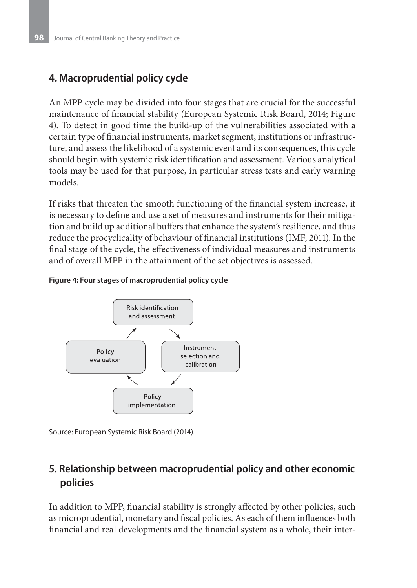## **4. Macroprudential policy cycle**

An MPP cycle may be divided into four stages that are crucial for the successful maintenance of financial stability (European Systemic Risk Board, 2014; Figure 4). To detect in good time the build-up of the vulnerabilities associated with a certain type of financial instruments, market segment, institutions or infrastructure, and assess the likelihood of a systemic event and its consequences, this cycle should begin with systemic risk identification and assessment. Various analytical tools may be used for that purpose, in particular stress tests and early warning models.

If risks that threaten the smooth functioning of the financial system increase, it is necessary to define and use a set of measures and instruments for their mitigation and build up additional buffers that enhance the system's resilience, and thus reduce the procyclicality of behaviour of financial institutions (IMF, 2011). In the final stage of the cycle, the effectiveness of individual measures and instruments and of overall MPP in the attainment of the set objectives is assessed.

#### **Figure 4: Four stages of macroprudential policy cycle**



Source: European Systemic Risk Board (2014).

## **5. Relationship between macroprudential policy and other economic policies**

In addition to MPP, financial stability is strongly affected by other policies, such as microprudential, monetary and fiscal policies. As each of them influences both financial and real developments and the financial system as a whole, their inter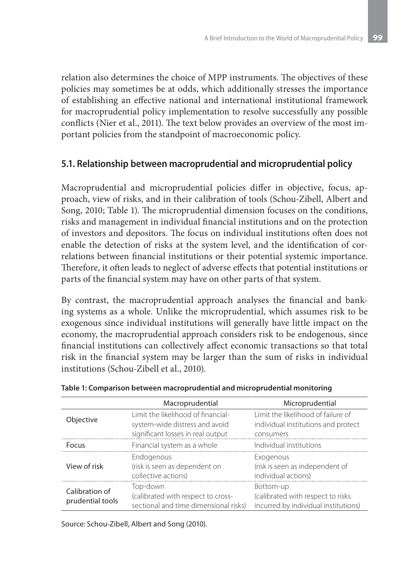relation also determines the choice of MPP instruments. The objectives of these policies may sometimes be at odds, which additionally stresses the importance of establishing an effective national and international institutional framework for macroprudential policy implementation to resolve successfully any possible conflicts (Nier et al., 2011). The text below provides an overview of the most important policies from the standpoint of macroeconomic policy.

### **5.1. Relationship between macroprudential and microprudential policy**

Macroprudential and microprudential policies differ in objective, focus, approach, view of risks, and in their calibration of tools (Schou-Zibell, Albert and Song, 2010; Table 1). The microprudential dimension focuses on the conditions, risks and management in individual financial institutions and on the protection of investors and depositors. The focus on individual institutions often does not enable the detection of risks at the system level, and the identification of correlations between financial institutions or their potential systemic importance. Therefore, it often leads to neglect of adverse effects that potential institutions or parts of the financial system may have on other parts of that system.

By contrast, the macroprudential approach analyses the financial and banking systems as a whole. Unlike the microprudential, which assumes risk to be exogenous since individual institutions will generally have little impact on the economy, the macroprudential approach considers risk to be endogenous, since financial institutions can collectively affect economic transactions so that total risk in the financial system may be larger than the sum of risks in individual institutions (Schou-Zibell et al., 2010).

|                                    | Macroprudential                                                                                           | Microprudential                                                                        |
|------------------------------------|-----------------------------------------------------------------------------------------------------------|----------------------------------------------------------------------------------------|
| Objective                          | Limit the likelihood of financial-<br>system-wide distress and avoid<br>significant losses in real output | Limit the likelihood of failure of<br>individual institutions and protect<br>consumers |
| <b>Focus</b>                       | Financial system as a whole                                                                               | Individual institutions                                                                |
| View of risk                       | Endogenous<br>(risk is seen as dependent on<br>collective actions)                                        | Exogenous<br>(risk is seen as independent of<br>individual actions)                    |
| Calibration of<br>prudential tools | Top-down<br>(calibrated with respect to cross-<br>sectional and time dimensional risks)                   | Bottom-up<br>(calibrated with respect to risks<br>incurred by individual institutions) |

**Table 1: Comparison between macroprudential and microprudential monitoring**

Source: Schou-Zibell, Albert and Song (2010).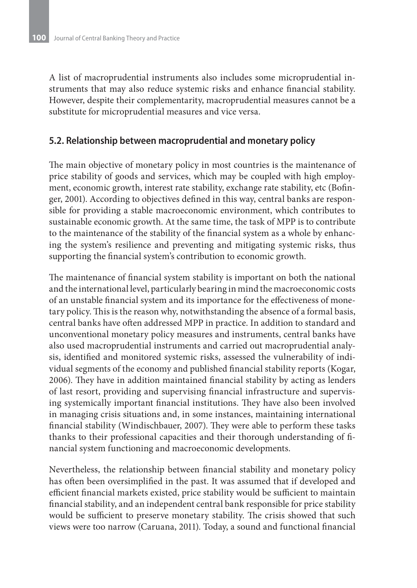A list of macroprudential instruments also includes some microprudential instruments that may also reduce systemic risks and enhance financial stability. However, despite their complementarity, macroprudential measures cannot be a substitute for microprudential measures and vice versa.

### **5.2. Relationship between macroprudential and monetary policy**

The main objective of monetary policy in most countries is the maintenance of price stability of goods and services, which may be coupled with high employment, economic growth, interest rate stability, exchange rate stability, etc (Bofinger, 2001). According to objectives defined in this way, central banks are responsible for providing a stable macroeconomic environment, which contributes to sustainable economic growth. At the same time, the task of MPP is to contribute to the maintenance of the stability of the financial system as a whole by enhancing the system's resilience and preventing and mitigating systemic risks, thus supporting the financial system's contribution to economic growth.

The maintenance of financial system stability is important on both the national and the international level, particularly bearing in mind the macroeconomic costs of an unstable financial system and its importance for the effectiveness of monetary policy. This is the reason why, notwithstanding the absence of a formal basis, central banks have often addressed MPP in practice. In addition to standard and unconventional monetary policy measures and instruments, central banks have also used macroprudential instruments and carried out macroprudential analysis, identified and monitored systemic risks, assessed the vulnerability of individual segments of the economy and published financial stability reports (Kogar, 2006). They have in addition maintained financial stability by acting as lenders of last resort, providing and supervising financial infrastructure and supervising systemically important financial institutions. They have also been involved in managing crisis situations and, in some instances, maintaining international financial stability (Windischbauer, 2007). They were able to perform these tasks thanks to their professional capacities and their thorough understanding of financial system functioning and macroeconomic developments.

Nevertheless, the relationship between financial stability and monetary policy has often been oversimplified in the past. It was assumed that if developed and efficient financial markets existed, price stability would be sufficient to maintain financial stability, and an independent central bank responsible for price stability would be sufficient to preserve monetary stability. The crisis showed that such views were too narrow (Caruana, 2011). Today, a sound and functional financial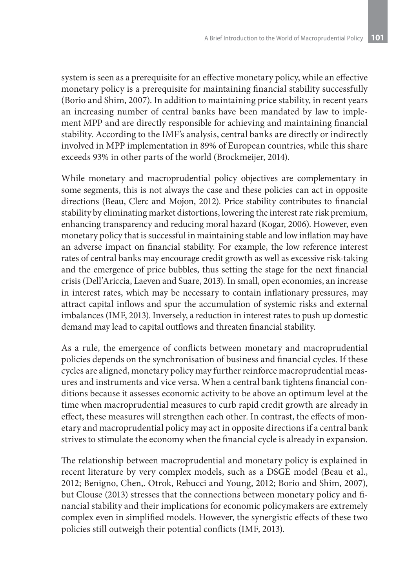system is seen as a prerequisite for an effective monetary policy, while an effective monetary policy is a prerequisite for maintaining financial stability successfully (Borio and Shim, 2007). In addition to maintaining price stability, in recent years an increasing number of central banks have been mandated by law to implement MPP and are directly responsible for achieving and maintaining financial stability. According to the IMF's analysis, central banks are directly or indirectly involved in MPP implementation in 89% of European countries, while this share exceeds 93% in other parts of the world (Brockmeijer, 2014).

While monetary and macroprudential policy objectives are complementary in some segments, this is not always the case and these policies can act in opposite directions (Beau, Clerc and Mojon, 2012). Price stability contributes to financial stability by eliminating market distortions, lowering the interest rate risk premium, enhancing transparency and reducing moral hazard (Kogar, 2006). However, even monetary policy that is successful in maintaining stable and low inflation may have an adverse impact on financial stability. For example, the low reference interest rates of central banks may encourage credit growth as well as excessive risk-taking and the emergence of price bubbles, thus setting the stage for the next financial crisis (Dell'Ariccia, Laeven and Suare, 2013). In small, open economies, an increase in interest rates, which may be necessary to contain inflationary pressures, may attract capital inflows and spur the accumulation of systemic risks and external imbalances (IMF, 2013). Inversely, a reduction in interest rates to push up domestic demand may lead to capital outflows and threaten financial stability.

As a rule, the emergence of conflicts between monetary and macroprudential policies depends on the synchronisation of business and financial cycles. If these cycles are aligned, monetary policy may further reinforce macroprudential measures and instruments and vice versa. When a central bank tightens financial conditions because it assesses economic activity to be above an optimum level at the time when macroprudential measures to curb rapid credit growth are already in effect, these measures will strengthen each other. In contrast, the effects of monetary and macroprudential policy may act in opposite directions if a central bank strives to stimulate the economy when the financial cycle is already in expansion.

The relationship between macroprudential and monetary policy is explained in recent literature by very complex models, such as a DSGE model (Beau et al., 2012; Benigno, Chen,. Otrok, Rebucci and Young, 2012; Borio and Shim, 2007), but Clouse (2013) stresses that the connections between monetary policy and financial stability and their implications for economic policymakers are extremely complex even in simplified models. However, the synergistic effects of these two policies still outweigh their potential conflicts (IMF, 2013).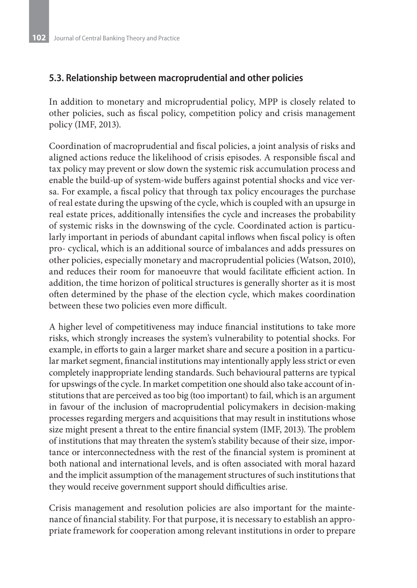## **5.3. Relationship between macroprudential and other policies**

In addition to monetary and microprudential policy, MPP is closely related to other policies, such as fiscal policy, competition policy and crisis management policy (IMF, 2013).

Coordination of macroprudential and fiscal policies, a joint analysis of risks and aligned actions reduce the likelihood of crisis episodes. A responsible fiscal and tax policy may prevent or slow down the systemic risk accumulation process and enable the build-up of system-wide buffers against potential shocks and vice versa. For example, a fiscal policy that through tax policy encourages the purchase of real estate during the upswing of the cycle, which is coupled with an upsurge in real estate prices, additionally intensifies the cycle and increases the probability of systemic risks in the downswing of the cycle. Coordinated action is particularly important in periods of abundant capital inflows when fiscal policy is often pro- cyclical, which is an additional source of imbalances and adds pressures on other policies, especially monetary and macroprudential policies (Watson, 2010), and reduces their room for manoeuvre that would facilitate efficient action. In addition, the time horizon of political structures is generally shorter as it is most often determined by the phase of the election cycle, which makes coordination between these two policies even more difficult.

A higher level of competitiveness may induce financial institutions to take more risks, which strongly increases the system's vulnerability to potential shocks. For example, in efforts to gain a larger market share and secure a position in a particular market segment, financial institutions may intentionally apply less strict or even completely inappropriate lending standards. Such behavioural patterns are typical for upswings of the cycle. In market competition one should also take account of institutions that are perceived as too big (too important) to fail, which is an argument in favour of the inclusion of macroprudential policymakers in decision-making processes regarding mergers and acquisitions that may result in institutions whose size might present a threat to the entire financial system (IMF, 2013). The problem of institutions that may threaten the system's stability because of their size, importance or interconnectedness with the rest of the financial system is prominent at both national and international levels, and is often associated with moral hazard and the implicit assumption of the management structures of such institutions that they would receive government support should difficulties arise.

Crisis management and resolution policies are also important for the maintenance of financial stability. For that purpose, it is necessary to establish an appropriate framework for cooperation among relevant institutions in order to prepare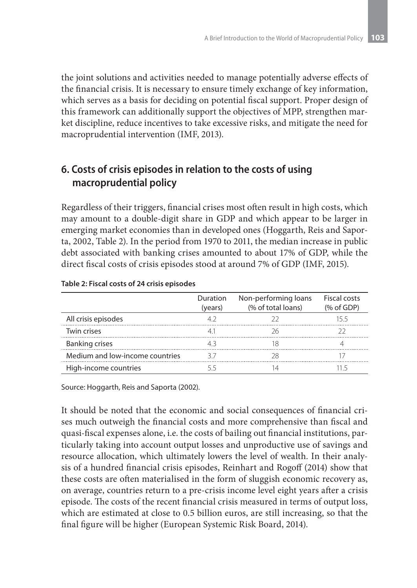the joint solutions and activities needed to manage potentially adverse effects of the financial crisis. It is necessary to ensure timely exchange of key information, which serves as a basis for deciding on potential fiscal support. Proper design of this framework can additionally support the objectives of MPP, strengthen market discipline, reduce incentives to take excessive risks, and mitigate the need for macroprudential intervention (IMF, 2013).

## **6. Costs of crisis episodes in relation to the costs of using macroprudential policy**

Regardless of their triggers, financial crises most often result in high costs, which may amount to a double-digit share in GDP and which appear to be larger in emerging market economies than in developed ones (Hoggarth, Reis and Saporta, 2002, Table 2). In the period from 1970 to 2011, the median increase in public debt associated with banking crises amounted to about 17% of GDP, while the direct fiscal costs of crisis episodes stood at around 7% of GDP (IMF, 2015).

|                                 | Duration<br>(years) | Non-performing loans<br>(% of total loans) | Fiscal costs<br>$(%$ (% of GDP) |
|---------------------------------|---------------------|--------------------------------------------|---------------------------------|
| All crisis episodes             | 42                  |                                            | 155                             |
| Twin crises                     |                     | λh                                         |                                 |
| <b>Banking crises</b>           |                     |                                            |                                 |
| Medium and low-income countries |                     |                                            |                                 |
| High-income countries           |                     |                                            |                                 |

#### **Table 2: Fiscal costs of 24 crisis episodes**

Source: Hoggarth, Reis and Saporta (2002).

It should be noted that the economic and social consequences of financial crises much outweigh the financial costs and more comprehensive than fiscal and quasi-fiscal expenses alone, i.e. the costs of bailing out financial institutions, particularly taking into account output losses and unproductive use of savings and resource allocation, which ultimately lowers the level of wealth. In their analysis of a hundred financial crisis episodes, Reinhart and Rogoff (2014) show that these costs are often materialised in the form of sluggish economic recovery as, on average, countries return to a pre-crisis income level eight years after a crisis episode. The costs of the recent financial crisis measured in terms of output loss, which are estimated at close to 0.5 billion euros, are still increasing, so that the final figure will be higher (European Systemic Risk Board, 2014).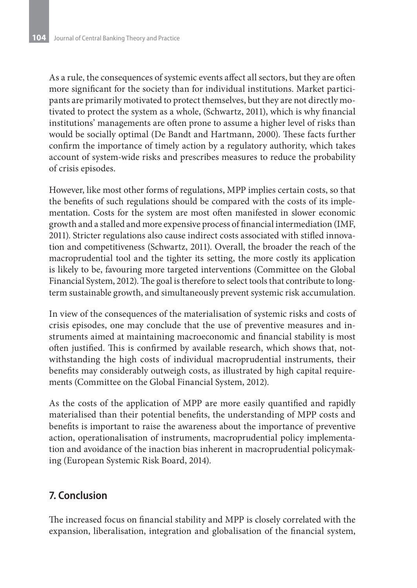As a rule, the consequences of systemic events affect all sectors, but they are often more significant for the society than for individual institutions. Market participants are primarily motivated to protect themselves, but they are not directly motivated to protect the system as a whole, (Schwartz, 2011), which is why financial institutions' managements are often prone to assume a higher level of risks than would be socially optimal (De Bandt and Hartmann, 2000). These facts further confirm the importance of timely action by a regulatory authority, which takes account of system-wide risks and prescribes measures to reduce the probability of crisis episodes.

However, like most other forms of regulations, MPP implies certain costs, so that the benefits of such regulations should be compared with the costs of its implementation. Costs for the system are most often manifested in slower economic growth and a stalled and more expensive process of financial intermediation (IMF, 2011). Stricter regulations also cause indirect costs associated with stifled innovation and competitiveness (Schwartz, 2011). Overall, the broader the reach of the macroprudential tool and the tighter its setting, the more costly its application is likely to be, favouring more targeted interventions (Committee on the Global Financial System, 2012). The goal is therefore to select tools that contribute to longterm sustainable growth, and simultaneously prevent systemic risk accumulation.

In view of the consequences of the materialisation of systemic risks and costs of crisis episodes, one may conclude that the use of preventive measures and instruments aimed at maintaining macroeconomic and financial stability is most often justified. This is confirmed by available research, which shows that, notwithstanding the high costs of individual macroprudential instruments, their benefits may considerably outweigh costs, as illustrated by high capital requirements (Committee on the Global Financial System, 2012).

As the costs of the application of MPP are more easily quantified and rapidly materialised than their potential benefits, the understanding of MPP costs and benefits is important to raise the awareness about the importance of preventive action, operationalisation of instruments, macroprudential policy implementation and avoidance of the inaction bias inherent in macroprudential policymaking (European Systemic Risk Board, 2014).

## **7. Conclusion**

The increased focus on financial stability and MPP is closely correlated with the expansion, liberalisation, integration and globalisation of the financial system,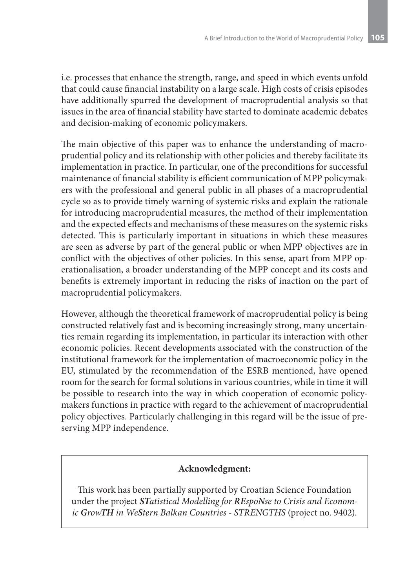i.e. processes that enhance the strength, range, and speed in which events unfold that could cause financial instability on a large scale. High costs of crisis episodes have additionally spurred the development of macroprudential analysis so that issues in the area of financial stability have started to dominate academic debates and decision-making of economic policymakers.

The main objective of this paper was to enhance the understanding of macroprudential policy and its relationship with other policies and thereby facilitate its implementation in practice. In particular, one of the preconditions for successful maintenance of financial stability is efficient communication of MPP policymakers with the professional and general public in all phases of a macroprudential cycle so as to provide timely warning of systemic risks and explain the rationale for introducing macroprudential measures, the method of their implementation and the expected effects and mechanisms of these measures on the systemic risks detected. This is particularly important in situations in which these measures are seen as adverse by part of the general public or when MPP objectives are in conflict with the objectives of other policies. In this sense, apart from MPP operationalisation, a broader understanding of the MPP concept and its costs and benefits is extremely important in reducing the risks of inaction on the part of macroprudential policymakers.

However, although the theoretical framework of macroprudential policy is being constructed relatively fast and is becoming increasingly strong, many uncertainties remain regarding its implementation, in particular its interaction with other economic policies. Recent developments associated with the construction of the institutional framework for the implementation of macroeconomic policy in the EU, stimulated by the recommendation of the ESRB mentioned, have opened room for the search for formal solutions in various countries, while in time it will be possible to research into the way in which cooperation of economic policymakers functions in practice with regard to the achievement of macroprudential policy objectives. Particularly challenging in this regard will be the issue of preserving MPP independence.

#### **Acknowledgment:**

This work has been partially supported by Croatian Science Foundation under the project *STatistical Modelling for REspoNse to Crisis and Economic GrowTH in WeStern Balkan Countries - STRENGTHS* (project no. 9402).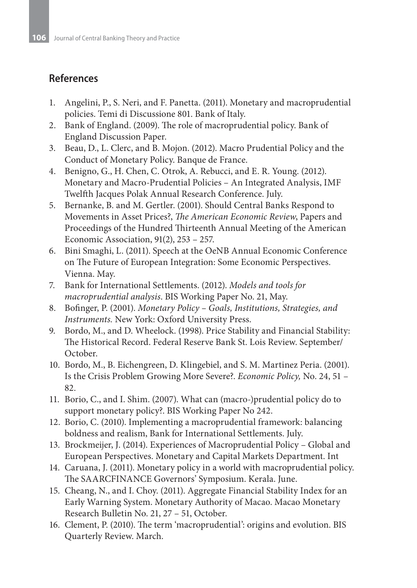## **References**

- 1. Angelini, P., S. Neri, and F. Panetta. (2011). Monetary and macroprudential policies. Temi di Discussione 801. Bank of Italy.
- 2. Bank of England. (2009). The role of macroprudential policy. Bank of England Discussion Paper.
- 3. Beau, D., L. Clerc, and B. Mojon. (2012). Macro Prudential Policy and the Conduct of Monetary Policy. Banque de France.
- 4. Benigno, G., H. Chen, C. Otrok, A. Rebucci, and E. R. Young. (2012). Monetary and Macro-Prudential Policies – An Integrated Analysis, IMF Twelfth Jacques Polak Annual Research Conference. July.
- 5. Bernanke, B. and M. Gertler. (2001). Should Central Banks Respond to Movements in Asset Prices?, *The American Economic Review*, Papers and Proceedings of the Hundred Thirteenth Annual Meeting of the American Economic Association, 91(2), 253 – 257.
- 6. Bini Smaghi, L. (2011). Speech at the OeNB Annual Economic Conference on The Future of European Integration: Some Economic Perspectives. Vienna. May.
- 7. Bank for International Settlements. (2012). *Models and tools for macroprudential analysis*. BIS Working Paper No. 21, May.
- 8. Bofinger, P. (2001). *Monetary Policy Goals, Institutions, Strategies, and Instruments.* New York: Oxford University Press.
- 9. Bordo, M., and D. Wheelock. (1998). Price Stability and Financial Stability: The Historical Record. Federal Reserve Bank St. Lois Review. September/ October.
- 10. Bordo, M., B. Eichengreen, D. Klingebiel, and S. M. Martinez Peria. (2001). Is the Crisis Problem Growing More Severe?. *Economic Policy,* No. 24, 51 – 82.
- 11. Borio, C., and I. Shim. (2007). What can (macro-)prudential policy do to support monetary policy?. BIS Working Paper No 242.
- 12. Borio, C. (2010). Implementing a macroprudential framework: balancing boldness and realism, Bank for International Settlements. July.
- 13. Brockmeijer, J. (2014). Experiences of Macroprudential Policy Global and European Perspectives. Monetary and Capital Markets Department. Int
- 14. Caruana, J. (2011). Monetary policy in a world with macroprudential policy. The SAARCFINANCE Governors' Symposium. Kerala. June.
- 15. Cheang, N., and I. Choy. (2011). Aggregate Financial Stability Index for an Early Warning System. Monetary Authority of Macao. Macao Monetary Research Bulletin No. 21, 27 – 51, October.
- 16. Clement, P. (2010). The term 'macroprudential': origins and evolution. BIS Quarterly Review. March.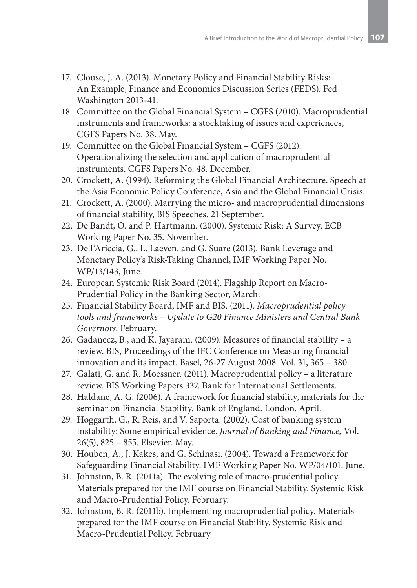- 17. Clouse, J. A. (2013). Monetary Policy and Financial Stability Risks: An Example, Finance and Economics Discussion Series (FEDS). Fed Washington 2013-41.
- 18. Committee on the Global Financial System CGFS (2010). Macroprudential instruments and frameworks: a stocktaking of issues and experiences, CGFS Papers No. 38. May.
- 19. Committee on the Global Financial System CGFS (2012). Operationalizing the selection and application of macroprudential instruments. CGFS Papers No. 48. December.
- 20. Crockett, A. (1994). Reforming the Global Financial Architecture. Speech at the Asia Economic Policy Conference, Asia and the Global Financial Crisis.
- 21. Crockett, A. (2000). Marrying the micro- and macroprudential dimensions of financial stability, BIS Speeches. 21 September.
- 22. De Bandt, O. and P. Hartmann. (2000). Systemic Risk: A Survey. ECB Working Paper No. 35. November.
- 23. Dell'Ariccia, G., L. Laeven, and G. Suare (2013). Bank Leverage and Monetary Policy's Risk-Taking Channel, IMF Working Paper No. WP/13/143, June.
- 24. European Systemic Risk Board (2014). Flagship Report on Macro-Prudential Policy in the Banking Sector, March.
- 25. Financial Stability Board, IMF and BIS. (2011). *Macroprudential policy tools and frameworks – Update to G20 Finance Ministers and Central Bank Governors*. February.
- 26. Gadanecz, B., and K. Jayaram. (2009). Measures of financial stability a review. BIS, Proceedings of the IFC Conference on Measuring financial innovation and its impact. Basel, 26-27 August 2008. Vol. 31, 365 – 380.
- 27. Galati, G. and R. Moessner. (2011). Macroprudential policy a literature review. BIS Working Papers 337. Bank for International Settlements.
- 28. Haldane, A. G. (2006). A framework for financial stability, materials for the seminar on Financial Stability. Bank of England. London. April.
- 29. Hoggarth, G., R. Reis, and V. Saporta. (2002). Cost of banking system instability: Some empirical evidence. *Journal of Banking and Finance,* Vol. 26(5), 825 – 855. Elsevier. May.
- 30. Houben, A., J. Kakes, and G. Schinasi. (2004). Toward a Framework for Safeguarding Financial Stability. IMF Working Paper No. WP/04/101. June.
- 31. Johnston, B. R. (2011a). The evolving role of macro-prudential policy. Materials prepared for the IMF course on Financial Stability, Systemic Risk and Macro-Prudential Policy. February.
- 32. Johnston, B. R. (2011b). Implementing macroprudential policy. Materials prepared for the IMF course on Financial Stability, Systemic Risk and Macro-Prudential Policy. February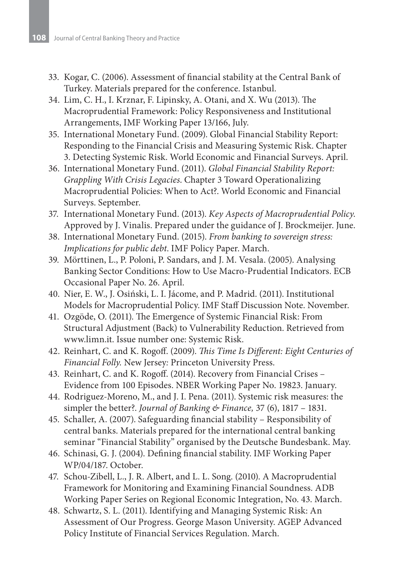- 33. Kogar, C. (2006). Assessment of financial stability at the Central Bank of Turkey. Materials prepared for the conference. Istanbul.
- 34. Lim, C. H., I. Krznar, F. Lipinsky, A. Otani, and X. Wu (2013). The Macroprudential Framework: Policy Responsiveness and Institutional Arrangements, IMF Working Paper 13/166, July.
- 35. International Monetary Fund. (2009). Global Financial Stability Report: Responding to the Financial Crisis and Measuring Systemic Risk. Chapter 3. Detecting Systemic Risk. World Economic and Financial Surveys. April.
- 36. International Monetary Fund. (2011). *Global Financial Stability Report: Grappling With Crisis Legacies*. Chapter 3 Toward Operationalizing Macroprudential Policies: When to Act?. World Economic and Financial Surveys. September.
- 37. International Monetary Fund. (2013). *Key Aspects of Macroprudential Policy*. Approved by J. Vinalis. Prepared under the guidance of J. Brockmeijer. June.
- 38. International Monetary Fund. (2015). *From banking to sovereign stress: Implications for public debt*. IMF Policy Paper. March.
- 39. Mörttinen, L., P. Poloni, P. Sandars, and J. M. Vesala. (2005). Analysing Banking Sector Conditions: How to Use Macro-Prudential Indicators. ECB Occasional Paper No. 26. April.
- 40. Nier, E. W., J. Osiński, L. I. Jácome, and P. Madrid. (2011). Institutional Models for Macroprudential Policy. IMF Staff Discussion Note. November.
- 41. Ozgöde, O. (2011). The Emergence of Systemic Financial Risk: From Structural Adjustment (Back) to Vulnerability Reduction. Retrieved from www.limn.it. Issue number one: Systemic Risk.
- 42. Reinhart, C. and K. Rogoff. (2009). *This Time Is Different: Eight Centuries of Financial Folly.* New Jersey*:* Princeton University Press.
- 43. Reinhart, C. and K. Rogoff. (2014). Recovery from Financial Crises Evidence from 100 Episodes. NBER Working Paper No. 19823. January.
- 44. Rodriguez-Moreno, M., and J. I. Pena. (2011). Systemic risk measures: the simpler the better?. *Journal of Banking & Finance,* 37 (6), 1817 – 1831.
- 45. Schaller, A. (2007). Safeguarding financial stability Responsibility of central banks. Materials prepared for the international central banking seminar "Financial Stability" organised by the Deutsche Bundesbank. May.
- 46. Schinasi, G. J. (2004). Defining financial stability. IMF Working Paper WP/04/187. October.
- 47. Schou-Zibell, L., J. R. Albert, and L. L. Song. (2010). A Macroprudential Framework for Monitoring and Examining Financial Soundness. ADB Working Paper Series on Regional Economic Integration, No. 43. March.
- 48. Schwartz, S. L. (2011). Identifying and Managing Systemic Risk: An Assessment of Our Progress. George Mason University. AGEP Advanced Policy Institute of Financial Services Regulation. March.